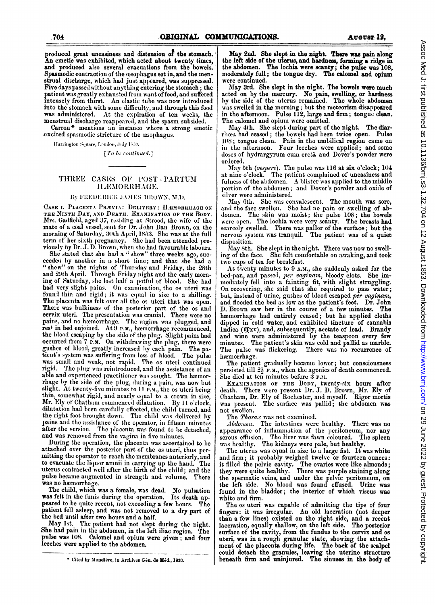produced great uneasiness and distension of the stomach. An emetic was exhibited, which acted about twenty times, and produced also several evacuations from the bowels. Spasmodic contraction of the osophagus set in, and the menstrual discharge, which had just appeared, was suppressed.<br>Five days passed without anything entering the stomach; the patient was greatly exhausted from want of food, and suffered intensely from thirst. An elastic tube was now introduced into the stomach with some difficulty, and through this food was administered. At the expiration of ten weeks, the menstrual discharge reappeared, and the spasm subsided.

Carron\* mentions an instance where a strong emetic excited spasmodic stricture of the osophagus.

Harrington Square, London, July 1853.

 $[To be continued.]$ 

## THREE CASES OF POST-PARTUM H.EMORRHAGE.

#### By FREDERICK JAMES BROWN, M.D.

CASE I. PLACENTA PRÆVIA: DELIVERY: HÆMORRHAGE ON THE NINTH DAY, AND DEATH. EXAMINATION OF THE BODY. Mrs. Gadfield, aged 37, residing at Strood, the wife of the mate of a coal vessel, sent for Dr. John Dan Brown, on the morning of Saturday, 30th April, 1853. She was at the full term of her sixth pregnancy. She had been attended previously by Dr. J. D. Brown, when she had favourable labours.

She stated that she had a "show" three weeks ago, suc-<br>ceeded by another in a short time; and that she had a "show" on the nights of Thursday and Friday, the 28th and 29th April. Through Friday night and the early morning of Saturday, she lost half a potful of blood. She had had very slight pains. On examination, the os uteri was found thin and rigid; it was equal in size to a shilling. The placenta was felt over all the os uteri that was open. There was bulkiness of the posterior part of the os and cervix uteri. The presentation was cranial. There were no pains, and no hæmorrhage. The vagina was plugged, and rest in bed enjoined. At 9 P.M., hæmorrhage recommenced, the blood escaping by the side of the plug. Slight pains had<br>occurred from 7 p.m. On withdrawing the plug, there were gushes of blood, greatly increased by each pain. The patient's system was suffering from loss of blood. The pulse was small and weak, not rapid. The os uteri continued rigid. The plug was reintroduced, and the assistance of an able and experienced practitioner was sought. The harmor-<br>rhage by the side of the plug, during a pain, was now but slight. At twenty-five minutes to 11 P.M., the os uteri being thin, somewhat rigid, and nearly equal to a crown in size,<br>Mr. Ely of Chatham commenced dilatation. By 11 o'clock, dilatation had been carefully effected, the child turned, and<br>the right foot brought down. The child was delivered by pains and the assistance of the operator, in fifteen minutes after the version. The placenta was found to be detached, and was removed from the vagina in five minutes.

During the operation, the placenta was ascertained to be attached over the posterior part of the os uteri, thus permitting the operator to reach the membranes anteriorly, and<br>to evacuate the liquor ammii in carrying up the hand. The uterus contracted well after the birth of the child; and the pulse became augmented in strength and volume. There was no hæmorrhage.

The child, which was a female, was dead. No pulsation was felt in the funis during the operation. Its death appeared to be quite recent, not exceeding a few hours. The patient fell asleep, and was not removed to a dry part of the bed until after two hours and a half.

May 1st. The patient had not slept during the night. She had pain in the abdomen, in the left iliac region. The pulse was 108. Calomel and opium were given; and four leeches were applied to the abdomen.

May 2nd. She slept in the night. There was pain along the left side of the uterus, and hardness, forming a ridge in the abdomen. The lochia were scanty; the pulse was 108, moderately full; the tongue dry. The calomel and opium were continued.

May 3rd. She slept in the night. The bowels were much acted on by the mercury. No pain, swelling, or hardness<br>by the side of the utcrus remained. The whole abdomen was swelled in the morning; but the meteorism disappeared in the afternoon. Pulse 112, large and firm; tongue clean. The calomel and opium were omitted.

May 4th. She slept during part of the night. The diarrhœa had ceased; the bowels had been twice open. Pulse 108; tongue clean. Pain in the umbilical region came on<br>in the afternoon. Four leeches were applied; and some doses of hydrargyrum cum creta and Dover's powder were ordered.

May 5th (vespere). The pulse was 116 at six o'clock; 104<br>at nine o'clock. The patient complained of uneasiness and fulness of the abdomen. A blister was applied to the middle portion of the abdomen; and Dover's powder and oxide of silver were administered.

May 6th. She was convalescent. The mouth was sore, and the face swollen. She had no pain or swelling of abdomen. The skin was moist; the pulse 108; the bowels were open. The lochia were very seanty. The breasts had scarcely swelled. There was pallor of the surface; but the nervous system was tranquil. The patient was of a quiet disposition.

May 8th. She slept in the night. There was now no swelling of the face. She felt comfortable on awaking, and took two cups of tea for breakfast.

At twenty minutes to 9 A.M., she suddenly asked for the bed-pan, and passed, per vaginam, bloody clots. She immediately fell into a fainting fit, with slight struggling. On recovering, she said that she required to pass water; but, instead of urine, gushes of blood escaped per vaginam, and flooded the bed as low as the patient's feet. Dr. John D. Brown saw her in the course of a few minutes. The hæmorrhage had entirely ceased; but he applied cloths dipped in cold water, and exhibited tincture of cannabis Indica (mxv), and, subsequently, acetate of lead. Brandy and which were administered by the teaspoon every few minutes. The patient's skin was cold and pallid as marble. The pulse was flickering. There was no recurrence of hæmorrhage.

The patient gradually became lower; but consciousness persisted till  $2\frac{1}{2}$  P.M., when the agonies of death commenced. She died at ten minutes before 3 P.M.

EXAMINATION OF THE BODY, twenty-six hours after death. There were present Dr. J. D. Brown, Mr. Ely of Chatham, Dr. Ely of Rochester, and myself. Rigor mortis was present. The surface was pallid; the abdomen was not swollen.

The Thorax was not examined.

Abdomen. The intestines were healthy. There was no appearance of inflammation of the peritoneum, nor any serous effusion. The liver was fawn coloured. The spleen was healthy. The kidneys were pale, but healthy.

The uterus was equal in size to a large fist. It was white and firm; it probably weighed twelve or fourteen ounces: it filled the pelvic cavity. The ovaries were like almonds;<br>they were quite healthy. There was purple staining along the spermatic veins, and under the pelvic peritoneum, on the left side. No blood was found effused. Urine was found in the bladder; the interior of which viscus was white and firm.

The os uteri was capable of admitting the tips of four<br>fingers: it was irregular. An old laceration (not deeper than a few lines) existed on the right side, and a recent laceration, equally shallow, on the left side. The posterior surface of the cavity, from the fundus to the cervix and os stated, was in a rough granular state, showing the attachment of the placenta during life. The back of the scalpel could detach the granules, leaving the uterine structure beneath firm and uninjured. The sinuses in the body of

<sup>\*</sup> Cited by Mondière, in Archives Gén. de Méd., 1833.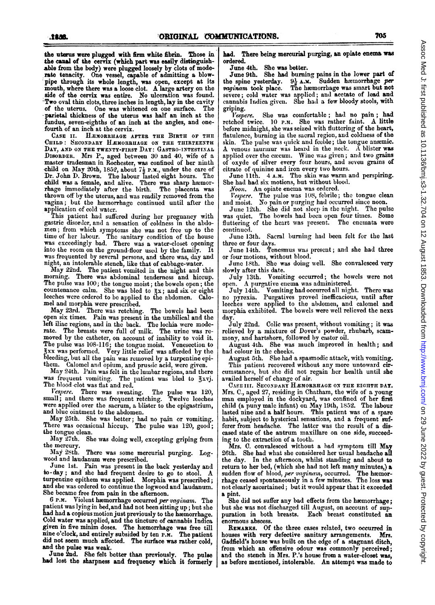the uterus were plugged with firm white fibrin. Those im the canal of the cervix (which part was easily distinguishable from the body) were plugged loosely by clots of moderate tenacity. One vessel, capable of admitting a blowpipe through its whole length, was open, except at its mouth, where there was <sup>a</sup> loose clot. A large artery on the side of the cervix was entire. No ulceration was found. Two oval thin clots, three inches in length, lay in the cavity<br>of the uterus. One was whitened on one surface. The of the uterus. One was whitened on one surface. parietal thickness of the uterus was half an inch at the fundus, seven-eighths of an inch at the angles, and onefourth of an inch at the cervix.

CASE II. HEMORRHAGE AFTER THE BIRTH OF THE CHILD: SECONDARY HEMORRHAGE ON THE THIRTEENTH DAY, AND ON THE TWENTY-FIRST DAY: GASTRO-INTESTINAL DISORDER. Mrs P., aged between 30 and 40, wife of a master tradesman in Rochester, was confined of her ninth child on May 20th, 1852, about  $7\frac{1}{2}$  P.M., under the care of Dr. John D. Brown. The labour lasted eight hours. The child was a female, and alive. There was sharp hwmorrhage immediately after the birth. The placenta was thrown off by the uterus, and was readily removed from the vagina; but the hæmorrhage continued until after the

application of cold water. This patient had suffered during her pregnancy with gastric disorder, and a sensation of coldness in the abdomen; from which symptoms she was not free up to the time of her labour. The sanitary condition of the house was exceedingly bad. There was a water-closet opening into the room on the ground-floor used by the family. It was frequented by several persons, and there was, day and night, an intolerable stench, like that of cabbage-water.

May 22nd. The patient vomited in the night and this morning. There was abdominal tenderness and hiccup. The pulse was 100; the tongue moist; the bowels open; the countenance calm. She was bled to  $\frac{2}{3}x$ ; and six or eight leeches were ordered to be applied to tie abdomen. Calomel and morphia were prescribed.

May 23rd. There was retching. The bowels had been open six times. Pain was present in the umbilical and the left iliac regions, and in the back. The lochia were moderate. The breasts were full of milk. The urine was removed by the catheter, on account of inability to void it. The pulse was 108-116; the tongue moist. Venesection to gxx was performed. Very little relief was afforded by the bleeding, but all the pain was removed by a turpentine epithem. Calomel and opium, and prussic acid, were given.

May 24th. <sup>I</sup>'ain was felt in the lumbar regions, and there was frequent vomiting. The patient was bled to 3xvj. The blood clot was flat and red.<br>Vespere. There was sweat.

There was sweating. The pulse was 120, there was frequent retching. Twelve leeches small; and there was frequent retching. were applied over the sacrum, a blister to the epigastrium, and blue ointment to the abdomen.

May 25th. She was better; had no pain or vomiting. There was occasional hiccup. The pulse was 120, good; the tongue clean.

May 27th. She was doing well, excepting griping from the mercury.<br>May 28th.

There was some mercurial purging. Logwood and laudanum were prescribed.

June 1st. Pain was present in the back yesterday and to-day; and she had frequent desire to go to stool. A turpeniine epithem was applied. Morphia was prescribed; and she was ordered to continue the logwood and laudanum. She became free from pain in the afternoon.

6 P.M. Violent hemorrhage occurred per vaginam. The patient was lying in bed,and had not been sitting up; but she had had a copious motion just previously to the hæmorrhage. Cold water was applied, and the tincture of cannabis Indica given in five minim doses. The haemorrhage was free till nine <sup>o</sup>'clock, and entirely subsided by ten P.M. The patient did not seem much affected. The surface was rather cold, and the pulse was weak.

June 2nd. She felt better than previously. The pulse had lost the sharpness and frequency which it formerly

had. There being mercurial purging, an opiate enema was ordered.

June 4th. She was better.

June 9th. She had burning pains in the lower part of the spine yesterday.  $9\frac{1}{2}$  A.M. Sudden hæmorrhage per the spine yesterday.  $9\frac{1}{2}$  A.M. Sudden hæmorrhage per vaginam took place. The hæmorrhage was smart but not The hæmorrhage was smart but not severe; cold water was applied; and acetate of lead and cannabis Indica given. She had a few bloody stools, with

griping.<br>Vespere. She was comfortable; had no pain; had rctched twice. 10 P.M. She was rather faint. A little before midnight, she was seized with fluttering of the heart, flatulence, burning in the sacral region, and coldness of the skin. The pulse was quick and feeble; the tongue anemic. A venous imurmuur was heard in the neck. A blister was applied over the caecum. Wine was given; and two grains of oxyde of silver every four hours, and seven grains of citrate of quinine and iron every two hours.

June 11th. 4 A.M. The skin was warm and perspiring. She had had six motions, but without blood.

Noon. An opiate enema was ordered.<br>Vespere. The pulse was 108, febrile;

The pulse was 108, febrile; the tongue clean and moist. No pain or purging had occurred since noon.<br>June 12th. She did not sleep in the night. The pulse

June 12th. She did not sleep in the night. The pulse was quiet. The bowels had been open four times. Some fluttering of the heart was present. The enemata were continued.

June 13th. Sacral burning- had been felt for the last three or four days.

June 14th. Tenesmus was present; and she had three or four motions, without blood.

June 18th. She was doing well. She convalesced very slowly after this date.

July 13th. Vomiting occurred; the bowels were not

open. A purgative enema was administered.<br>July 14th. Vomiting had occurred all nigl Vomiting had occurred all night. There was no pyrexia. Purgatives proved inefficacious, until after leeches were applied to the abdomen, and calomel and morphia exhibited. The bowels were well relieved the next day.

July 22nd. Colic was present, without vomiting; it was relieved by a mixture of Dover's powder, rhubarb, scammony, and hartshorn, followed by castor oil.

August 4th. She was much improved in health; and had colour in the cheeks.

August 5th. She had a spasmodic attack, with vomiting. This patient recovered without any more untoward circumstances, but she did not regain her health until she availed herself of change of air.

CASE III. SECONDARY HÆMORRHAGE ON THE EIGHTH DAY. Mrs. C., aged 27, residing in Chatham, the wife of a young man employed in the dockyard, was confined of her first child (a puny male infant) on May 19th, 1852. The labour lasted nine and a half hours. This patient was of a spare habit, subject to hysterical sensations, and a frequent sufferer from headache. The latter was the result of a diseased state of the antrum maxillare on one side, succeed-

ing to the CxtraCtion of a tooth. Mrs. C. convalesced without a had symptom till May 26th. She had what she considered her usual headache all the day. In the afternoon, whilst standing and about to return to her bed, (which she had not left many minutes,) a sudden flow of blood, *per vaginam*, occurred. The hæmorrhage ceased spontaneously in a few minutes. The loss was not clearly ascertained; but it would appear that it exceeded a pint.

She did not suffer any bad effects from the hæmorrhage; but she was not discharged till August, on account of sup-<br>puration in both breasts. Each breast constituted an Each breast constituted an enormous abscess.

REMARKS. Of the three cases related, two occurred in houses with very defective sanitary arrangements. Mrs. Gadfield's house was built on the edge of a stagnant ditch, from which an offensive odour was commonly perceived; and the stench in Mrs. P.'s house from a water-closet was, as before mentioned, intolerable. An attempt was made to